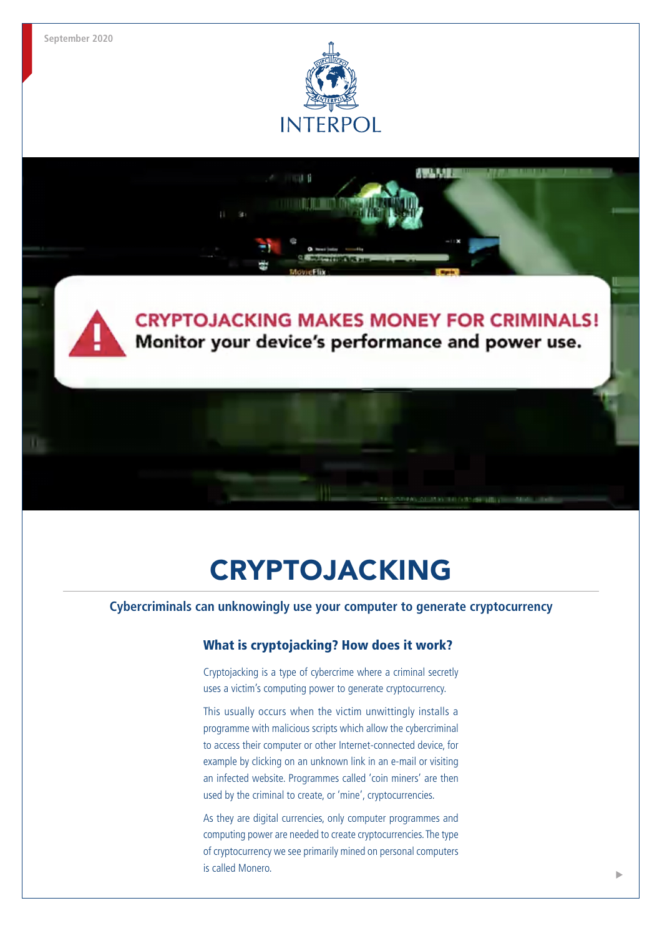**September 2020**

ш



## **CRYPTOJACKING MAKES MONEY FOR CRIMINALS!** Monitor your device's performance and power use.

AWA UT

# CRYPTOJACKING

**Cybercriminals can unknowingly use your computer to generate cryptocurrency**

## What is cryptojacking? How does it work?

Cryptojacking is a type of cybercrime where a criminal secretly uses a victim's computing power to generate cryptocurrency.

This usually occurs when the victim unwittingly installs a programme with malicious scripts which allow the cybercriminal to access their computer or other Internet-connected device, for example by clicking on an unknown link in an e-mail or visiting an infected website. Programmes called 'coin miners' are then used by the criminal to create, or 'mine', cryptocurrencies.

As they are digital currencies, only computer programmes and computing power are needed to create cryptocurrencies. The type of cryptocurrency we see primarily mined on personal computers is called Monero.